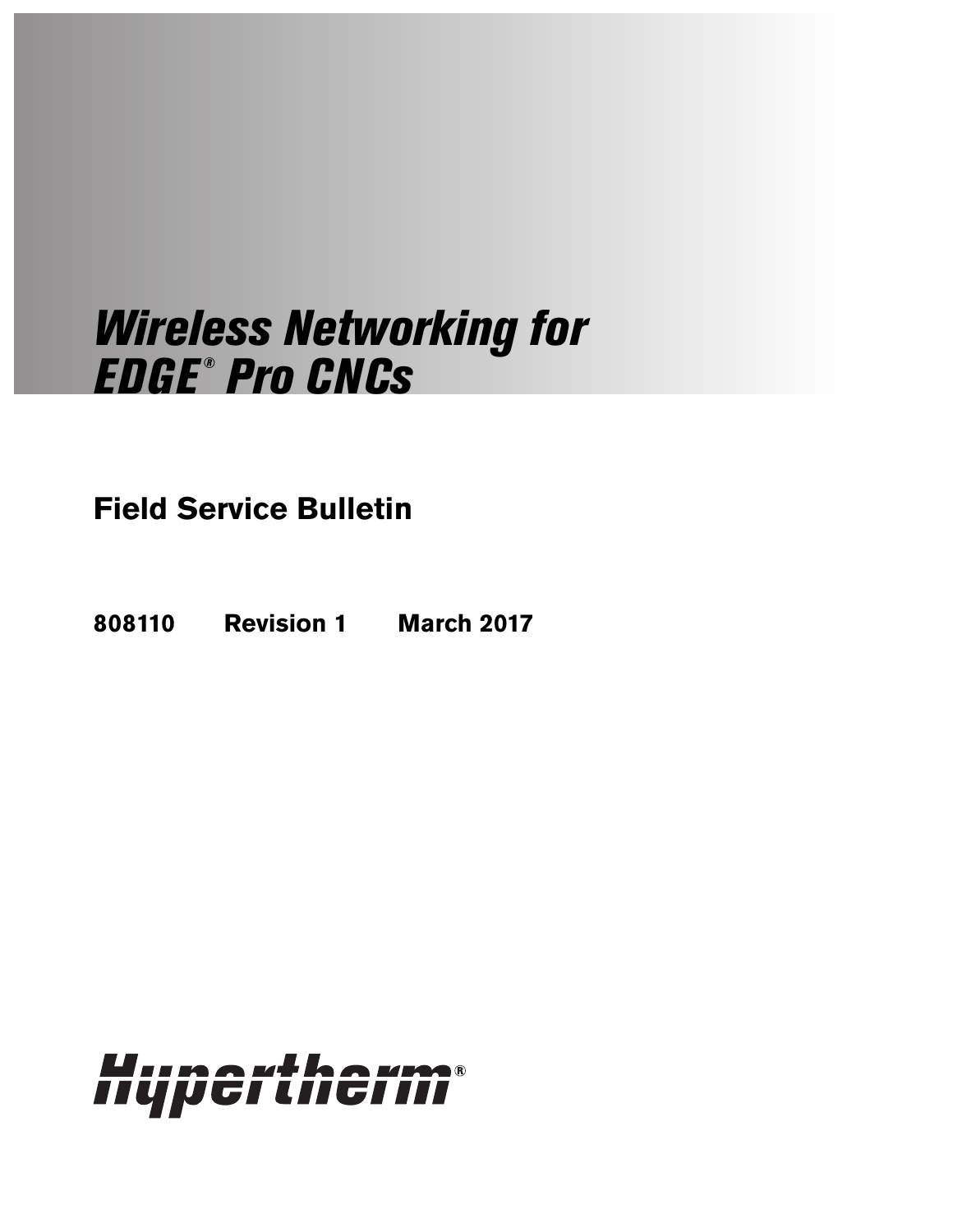# Wireless Networking for EDGE ® Pro CNCs

**Field Service Bulletin**

**808110 Revision 1 March 2017**

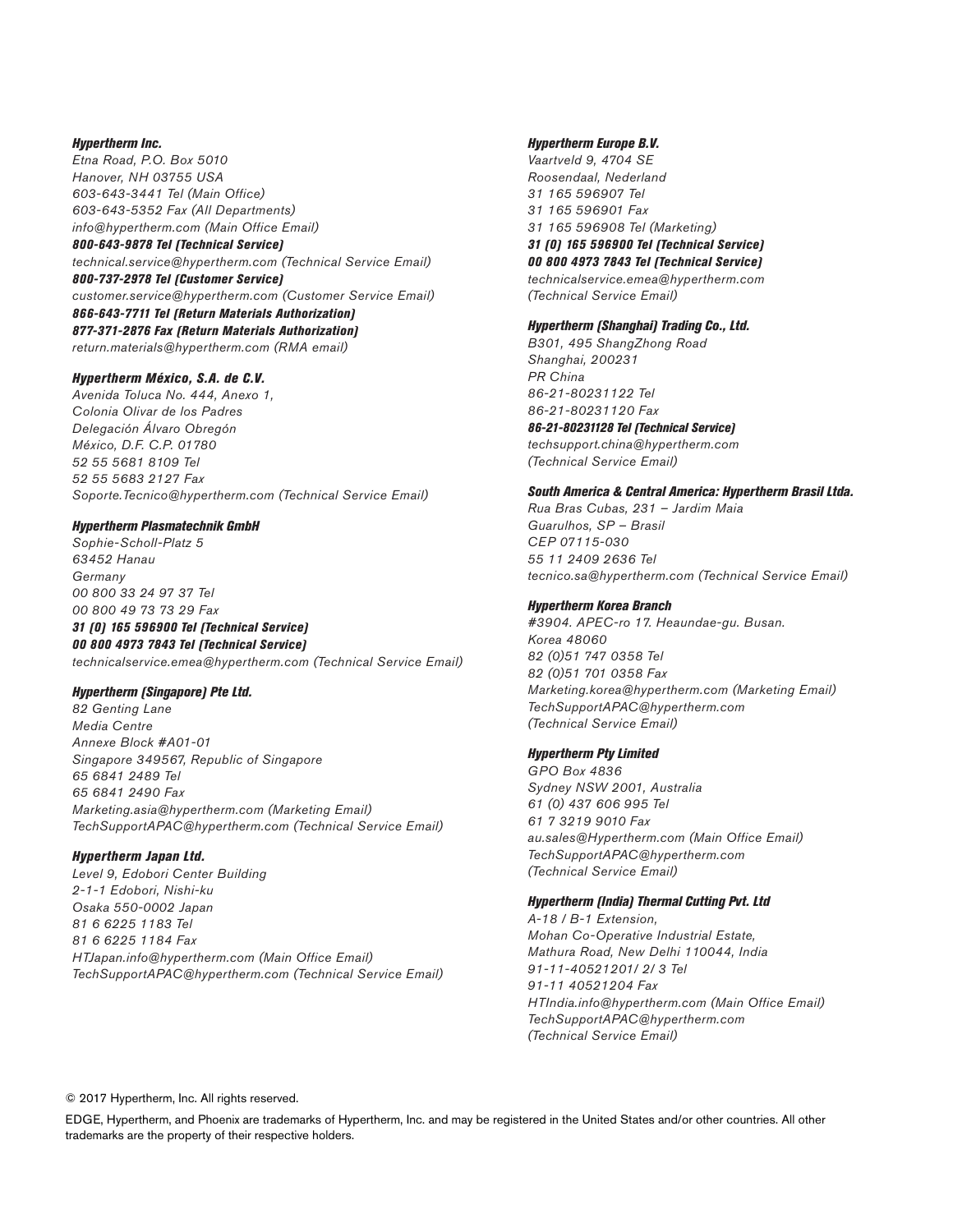#### Hypertherm Inc.

Etna Road, P.O. Box 5010 Hanover, NH 03755 USA 603-643-3441 Tel (Main Office) 603-643-5352 Fax (All Departments) info@hypertherm.com (Main Office Email)

800-643-9878 Tel (Technical Service) technical.service@hypertherm.com (Technical Service Email) 800-737-2978 Tel (Customer Service) customer.service@hypertherm.com (Customer Service Email) 866-643-7711 Tel (Return Materials Authorization) 877-371-2876 Fax (Return Materials Authorization) return.materials@hypertherm.com (RMA email)

## Hypertherm México, S.A. de C.V.

Avenida Toluca No. 444, Anexo 1, Colonia Olivar de los Padres Delegación Álvaro Obregón México, D.F. C.P. 01780 52 55 5681 8109 Tel 52 55 5683 2127 Fax Soporte.Tecnico@hypertherm.com (Technical Service Email)

## Hypertherm Plasmatechnik GmbH

Sophie-Scholl-Platz 5 63452 Hanau **Germany** 00 800 33 24 97 37 Tel 00 800 49 73 73 29 Fax 31 (0) 165 596900 Tel (Technical Service)

## 00 800 4973 7843 Tel (Technical Service)

technicalservice.emea@hypertherm.com (Technical Service Email)

#### Hypertherm (Singapore) Pte Ltd.

82 Genting Lane Media Centre Annexe Block #A01-01 Singapore 349567, Republic of Singapore 65 6841 2489 Tel 65 6841 2490 Fax Marketing.asia@hypertherm.com (Marketing Email) TechSupportAPAC@hypertherm.com (Technical Service Email)

## Hypertherm Japan Ltd.

Level 9, Edobori Center Building 2-1-1 Edobori, Nishi-ku Osaka 550-0002 Japan 81 6 6225 1183 Tel 81 6 6225 1184 Fax HTJapan.info@hypertherm.com (Main Office Email) TechSupportAPAC@hypertherm.com (Technical Service Email)

#### Hypertherm Europe B.V.

Vaartveld 9, 4704 SE Roosendaal, Nederland 31 165 596907 Tel 31 165 596901 Fax 31 165 596908 Tel (Marketing) 31 (0) 165 596900 Tel (Technical Service) 00 800 4973 7843 Tel (Technical Service) technicalservice.emea@hypertherm.com (Technical Service Email)

## Hypertherm (Shanghai) Trading Co., Ltd.

B301, 495 ShangZhong Road Shanghai, 200231 PR China 86-21-80231122 Tel 86-21-80231120 Fax 86-21-80231128 Tel (Technical Service) techsupport.china@hypertherm.com

## South America & Central America: Hypertherm Brasil Ltda.

Rua Bras Cubas, 231 – Jardim Maia Guarulhos, SP – Brasil CEP 07115-030 55 11 2409 2636 Tel tecnico.sa@hypertherm.com (Technical Service Email)

## Hypertherm Korea Branch

(Technical Service Email)

#3904. APEC-ro 17. Heaundae-gu. Busan. Korea 48060 82 (0)51 747 0358 Tel 82 (0)51 701 0358 Fax Marketing.korea@hypertherm.com (Marketing Email) TechSupportAPAC@hypertherm.com (Technical Service Email)

#### Hypertherm Pty Limited

GPO Box 4836 Sydney NSW 2001, Australia 61 (0) 437 606 995 Tel 61 7 3219 9010 Fax au.sales@Hypertherm.com (Main Office Email) TechSupportAPAC@hypertherm.com (Technical Service Email)

#### Hypertherm (India) Thermal Cutting Pvt. Ltd

A-18 / B-1 Extension, Mohan Co-Operative Industrial Estate, Mathura Road, New Delhi 110044, India 91-11-40521201/ 2/ 3 Tel 91-11 40521204 Fax HTIndia.info@hypertherm.com (Main Office Email) TechSupportAPAC@hypertherm.com (Technical Service Email)

© 2017 Hypertherm, Inc. All rights reserved.

EDGE, Hypertherm, and Phoenix are trademarks of Hypertherm, Inc. and may be registered in the United States and/or other countries. All other trademarks are the property of their respective holders.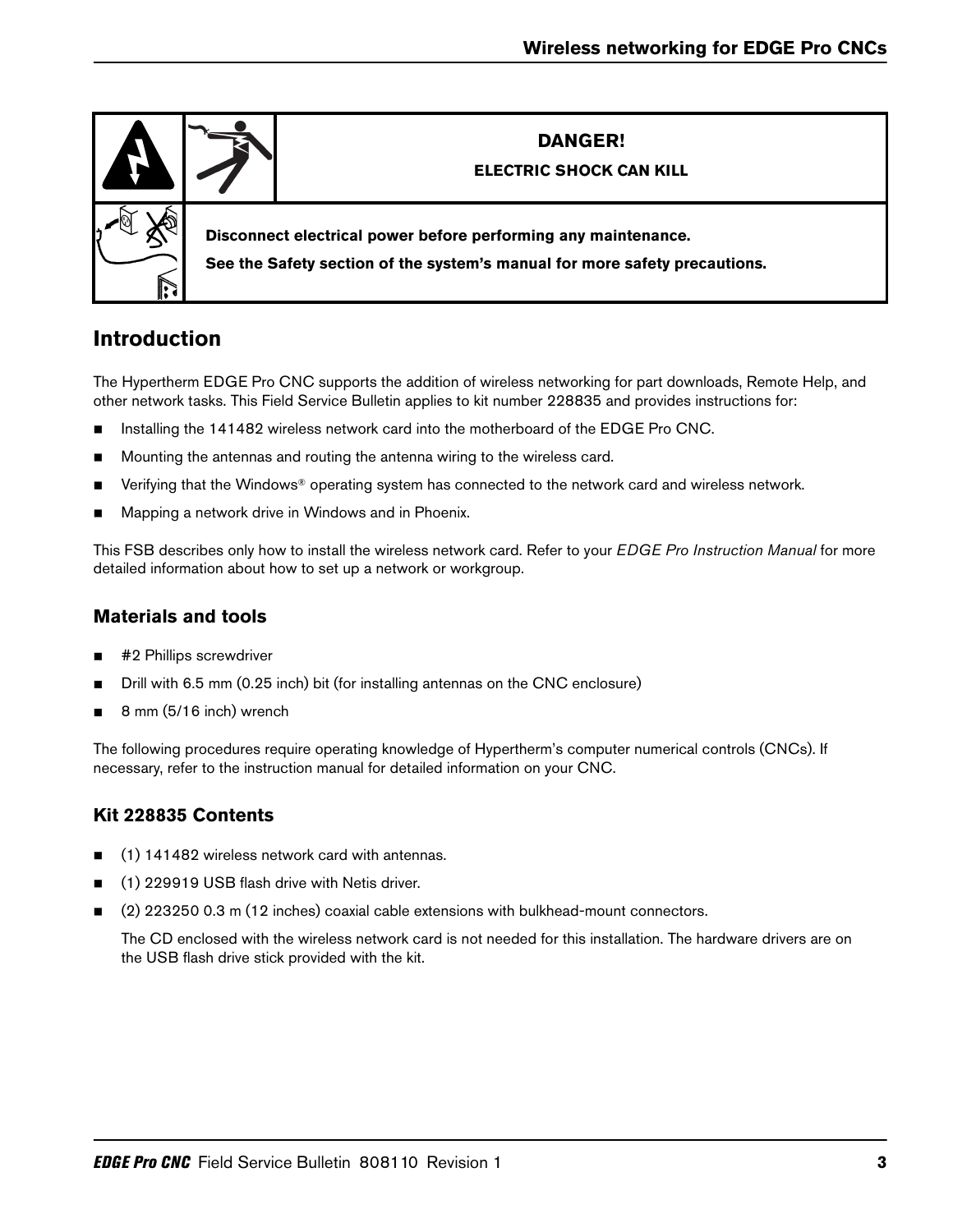

# **Introduction**

The Hypertherm EDGE Pro CNC supports the addition of wireless networking for part downloads, Remote Help, and other network tasks. This Field Service Bulletin applies to kit number 228835 and provides instructions for:

- Installing the 141482 wireless network card into the motherboard of the EDGE Pro CNC.
- **Mounting the antennas and routing the antenna wiring to the wireless card.**
- Verifying that the Windows<sup>®</sup> operating system has connected to the network card and wireless network.
- Mapping a network drive in Windows and in Phoenix.

This FSB describes only how to install the wireless network card. Refer to your EDGE Pro Instruction Manual for more detailed information about how to set up a network or workgroup.

## **Materials and tools**

- #2 Phillips screwdriver
- Drill with 6.5 mm (0.25 inch) bit (for installing antennas on the CNC enclosure)
- $\blacksquare$  8 mm (5/16 inch) wrench

The following procedures require operating knowledge of Hypertherm's computer numerical controls (CNCs). If necessary, refer to the instruction manual for detailed information on your CNC.

## **Kit 228835 Contents**

- (1) 141482 wireless network card with antennas.
- (1) 229919 USB flash drive with Netis driver.
- (2) 223250 0.3 m (12 inches) coaxial cable extensions with bulkhead-mount connectors.

The CD enclosed with the wireless network card is not needed for this installation. The hardware drivers are on the USB flash drive stick provided with the kit.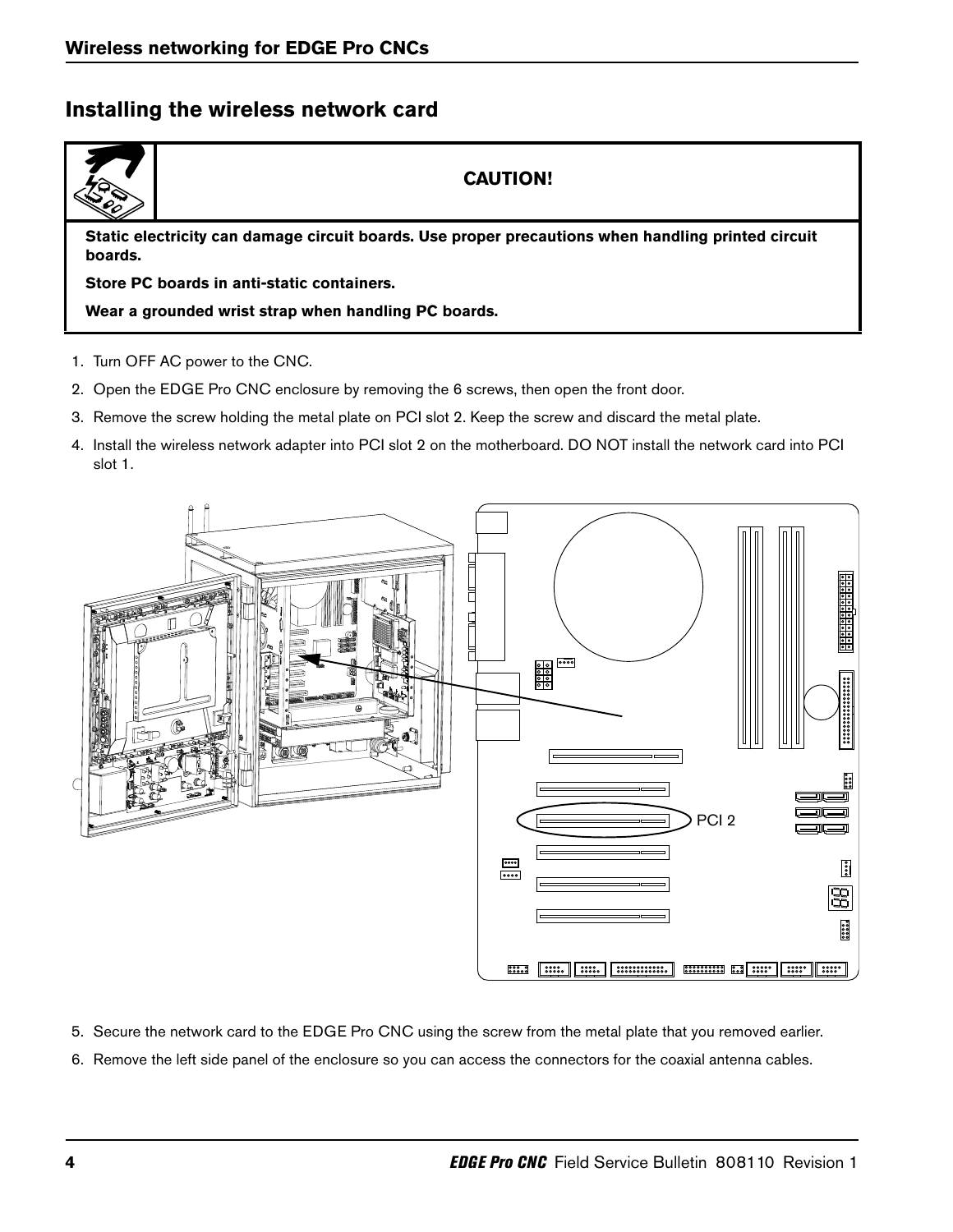# **Installing the wireless network card**

## **CAUTION!**

**Static electricity can damage circuit boards. Use proper precautions when handling printed circuit boards.**

**Store PC boards in anti-static containers.**

**Wear a grounded wrist strap when handling PC boards.**

- 1. Turn OFF AC power to the CNC.
- 2. Open the EDGE Pro CNC enclosure by removing the 6 screws, then open the front door.
- 3. Remove the screw holding the metal plate on PCI slot 2. Keep the screw and discard the metal plate.
- 4. Install the wireless network adapter into PCI slot 2 on the motherboard. DO NOT install the network card into PCI slot 1.



- 5. Secure the network card to the EDGE Pro CNC using the screw from the metal plate that you removed earlier.
- 6. Remove the left side panel of the enclosure so you can access the connectors for the coaxial antenna cables.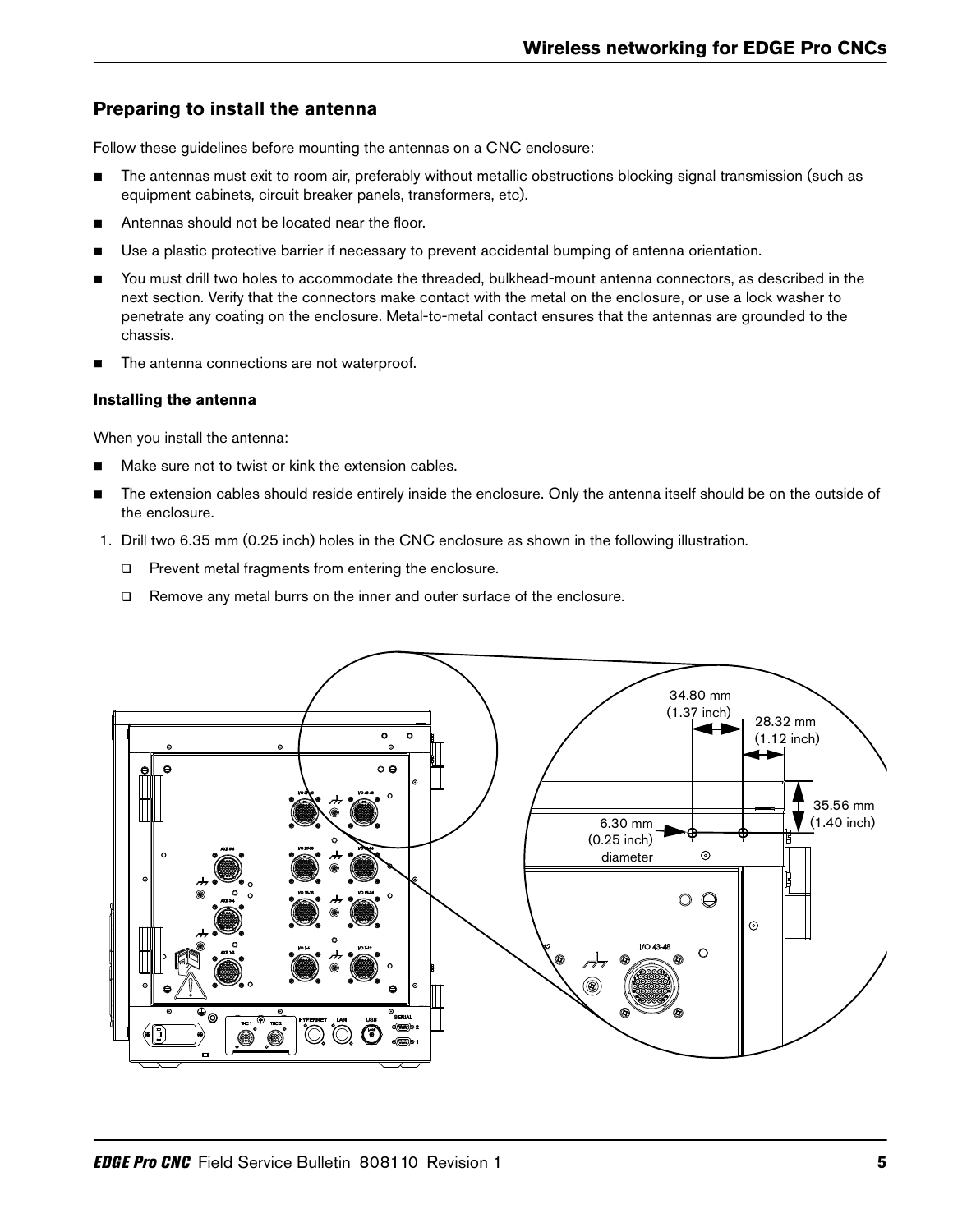# **Preparing to install the antenna**

Follow these guidelines before mounting the antennas on a CNC enclosure:

- The antennas must exit to room air, preferably without metallic obstructions blocking signal transmission (such as equipment cabinets, circuit breaker panels, transformers, etc).
- Antennas should not be located near the floor.
- Use a plastic protective barrier if necessary to prevent accidental bumping of antenna orientation.
- You must drill two holes to accommodate the threaded, bulkhead-mount antenna connectors, as described in the next section. Verify that the connectors make contact with the metal on the enclosure, or use a lock washer to penetrate any coating on the enclosure. Metal-to-metal contact ensures that the antennas are grounded to the chassis.
- The antenna connections are not waterproof.

## **Installing the antenna**

When you install the antenna:

- Make sure not to twist or kink the extension cables.
- The extension cables should reside entirely inside the enclosure. Only the antenna itself should be on the outside of the enclosure.
- 1. Drill two 6.35 mm (0.25 inch) holes in the CNC enclosure as shown in the following illustration.
	- □ Prevent metal fragments from entering the enclosure.
	- □ Remove any metal burrs on the inner and outer surface of the enclosure.

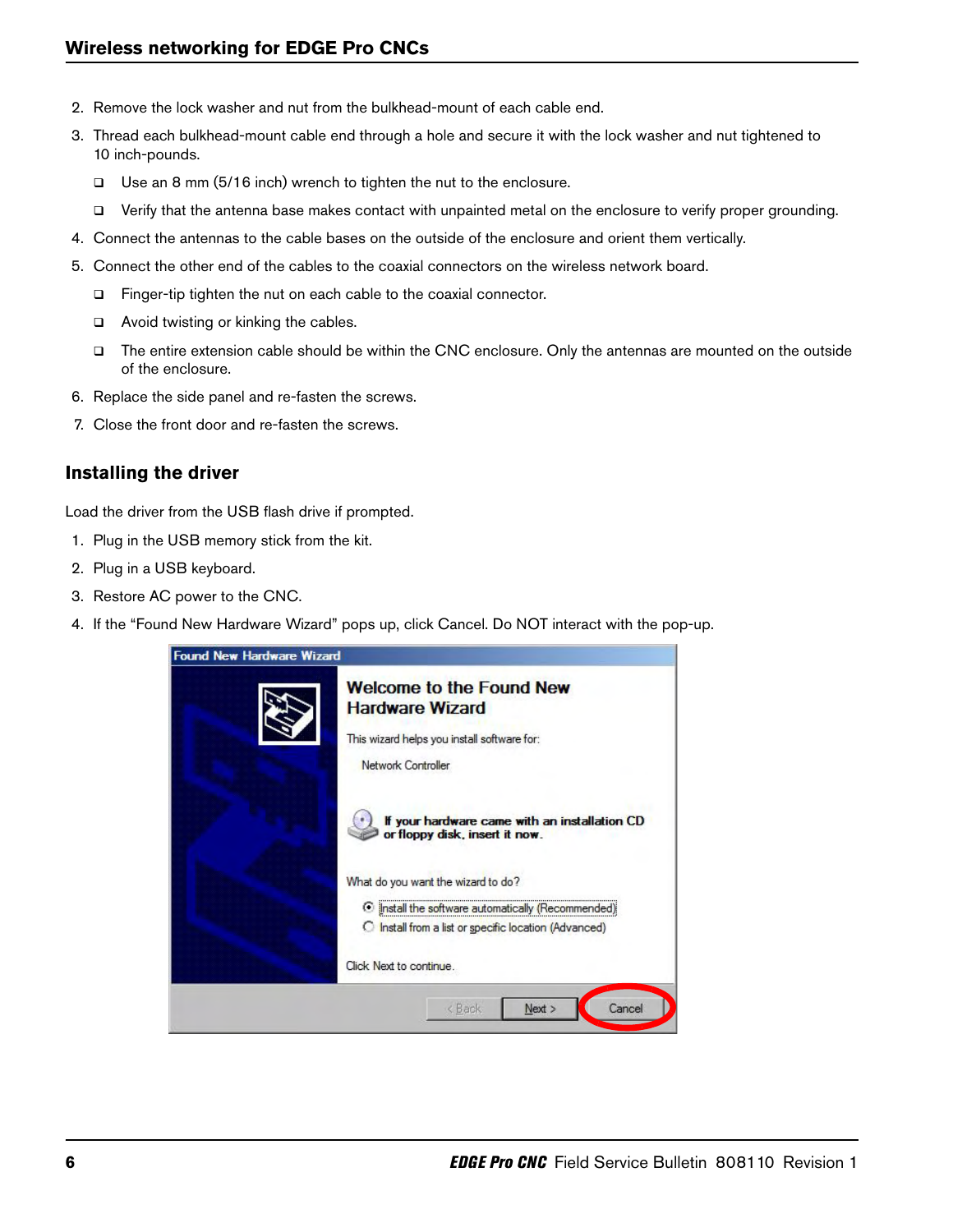- 2. Remove the lock washer and nut from the bulkhead-mount of each cable end.
- 3. Thread each bulkhead-mount cable end through a hole and secure it with the lock washer and nut tightened to 10 inch-pounds.
	- Use an 8 mm (5/16 inch) wrench to tighten the nut to the enclosure.
	- Verify that the antenna base makes contact with unpainted metal on the enclosure to verify proper grounding.
- 4. Connect the antennas to the cable bases on the outside of the enclosure and orient them vertically.
- 5. Connect the other end of the cables to the coaxial connectors on the wireless network board.
	- □ Finger-tip tighten the nut on each cable to the coaxial connector.
	- Avoid twisting or kinking the cables.
	- □ The entire extension cable should be within the CNC enclosure. Only the antennas are mounted on the outside of the enclosure.
- 6. Replace the side panel and re-fasten the screws.
- 7. Close the front door and re-fasten the screws.

## **Installing the driver**

Load the driver from the USB flash drive if prompted.

- 1. Plug in the USB memory stick from the kit.
- 2. Plug in a USB keyboard.
- 3. Restore AC power to the CNC.
- 4. If the "Found New Hardware Wizard" pops up, click Cancel. Do NOT interact with the pop-up.

| <b>Found New Hardware Wizard</b> |                                                                                                                                |
|----------------------------------|--------------------------------------------------------------------------------------------------------------------------------|
|                                  | <b>Welcome to the Found New</b><br><b>Hardware Wizard</b><br>This wizard helps you install software for:<br>Network Controller |
|                                  | If your hardware came with an installation CD<br>or floppy disk, insert it now.<br>What do you want the wizard to do?          |
|                                  | <b>C</b> install the software automatically (Recommended)                                                                      |
|                                  | Install from a list or specific location (Advanced)<br>o                                                                       |
|                                  | Click Next to continue.                                                                                                        |
|                                  | Cancel<br>Next<br>< Back                                                                                                       |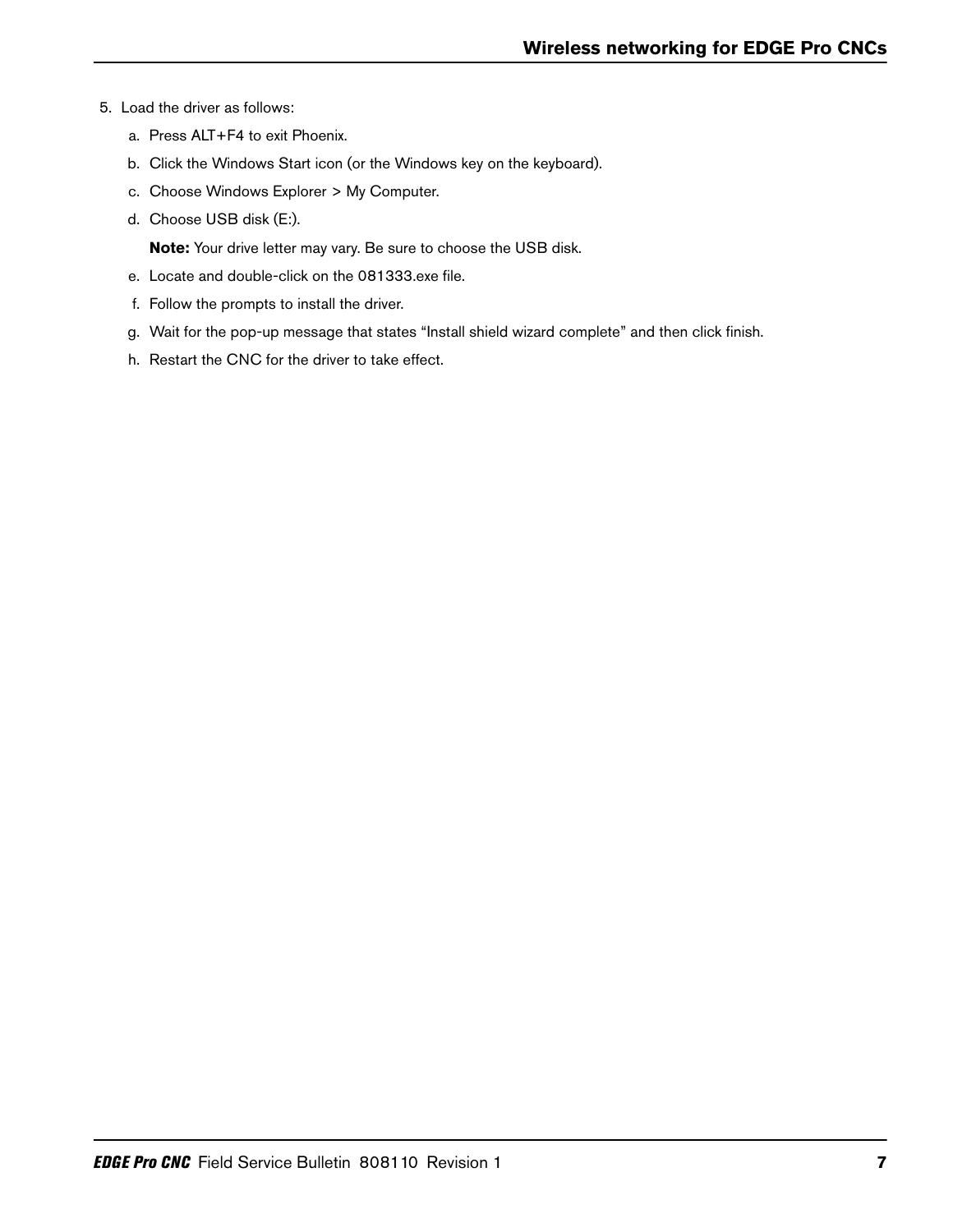- 5. Load the driver as follows:
	- a. Press ALT+F4 to exit Phoenix.
	- b. Click the Windows Start icon (or the Windows key on the keyboard).
	- c. Choose Windows Explorer > My Computer.
	- d. Choose USB disk (E:).

**Note:** Your drive letter may vary. Be sure to choose the USB disk.

- e. Locate and double-click on the 081333.exe file.
- f. Follow the prompts to install the driver.
- g. Wait for the pop-up message that states "Install shield wizard complete" and then click finish.
- h. Restart the CNC for the driver to take effect.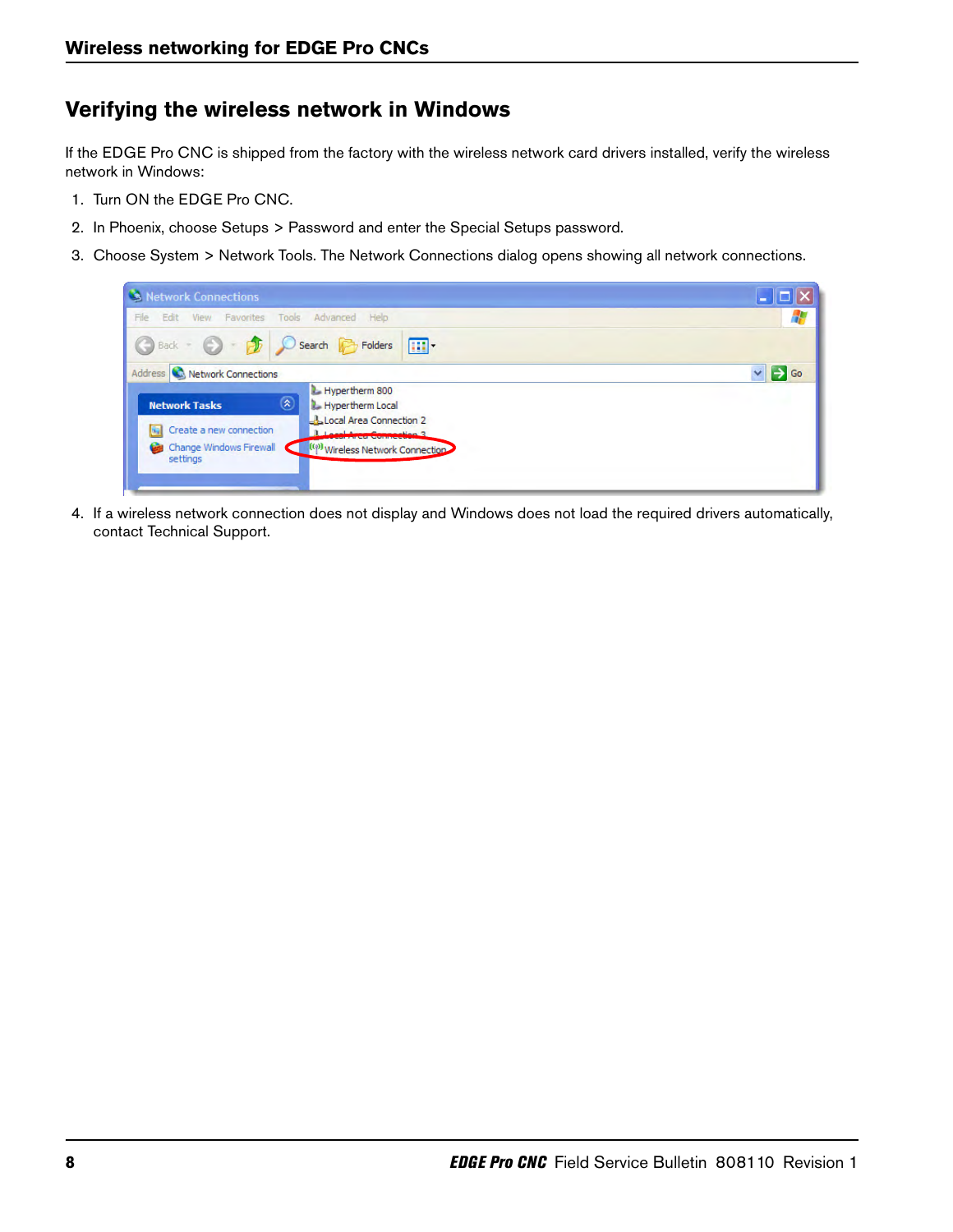# **Verifying the wireless network in Windows**

If the EDGE Pro CNC is shipped from the factory with the wireless network card drivers installed, verify the wireless network in Windows:

- 1. Turn ON the EDGE Pro CNC.
- 2. In Phoenix, choose Setups > Password and enter the Special Setups password.
- 3. Choose System > Network Tools. The Network Connections dialog opens showing all network connections.

| Network Connections                                                                                                                                                                                                                                                    |                  |
|------------------------------------------------------------------------------------------------------------------------------------------------------------------------------------------------------------------------------------------------------------------------|------------------|
| File Edit View Favorites Tools Advanced Help                                                                                                                                                                                                                           |                  |
| G Back - O - D D Search C Folders                                                                                                                                                                                                                                      |                  |
| Address <b>C</b> Network Connections                                                                                                                                                                                                                                   | $\Rightarrow$ Go |
| Hypertherm 800<br>$\left( \mathbf{\hat{x}}\right)$<br><b>Network Tasks</b><br>Hypertherm Local<br>Local Area Connection 2<br>Create a new connection<br>ы<br><b>Lincoldsson Competion 3</b><br>Change Windows Firewall<br>((p) Wireless Network Connection<br>settings |                  |

4. If a wireless network connection does not display and Windows does not load the required drivers automatically, contact Technical Support.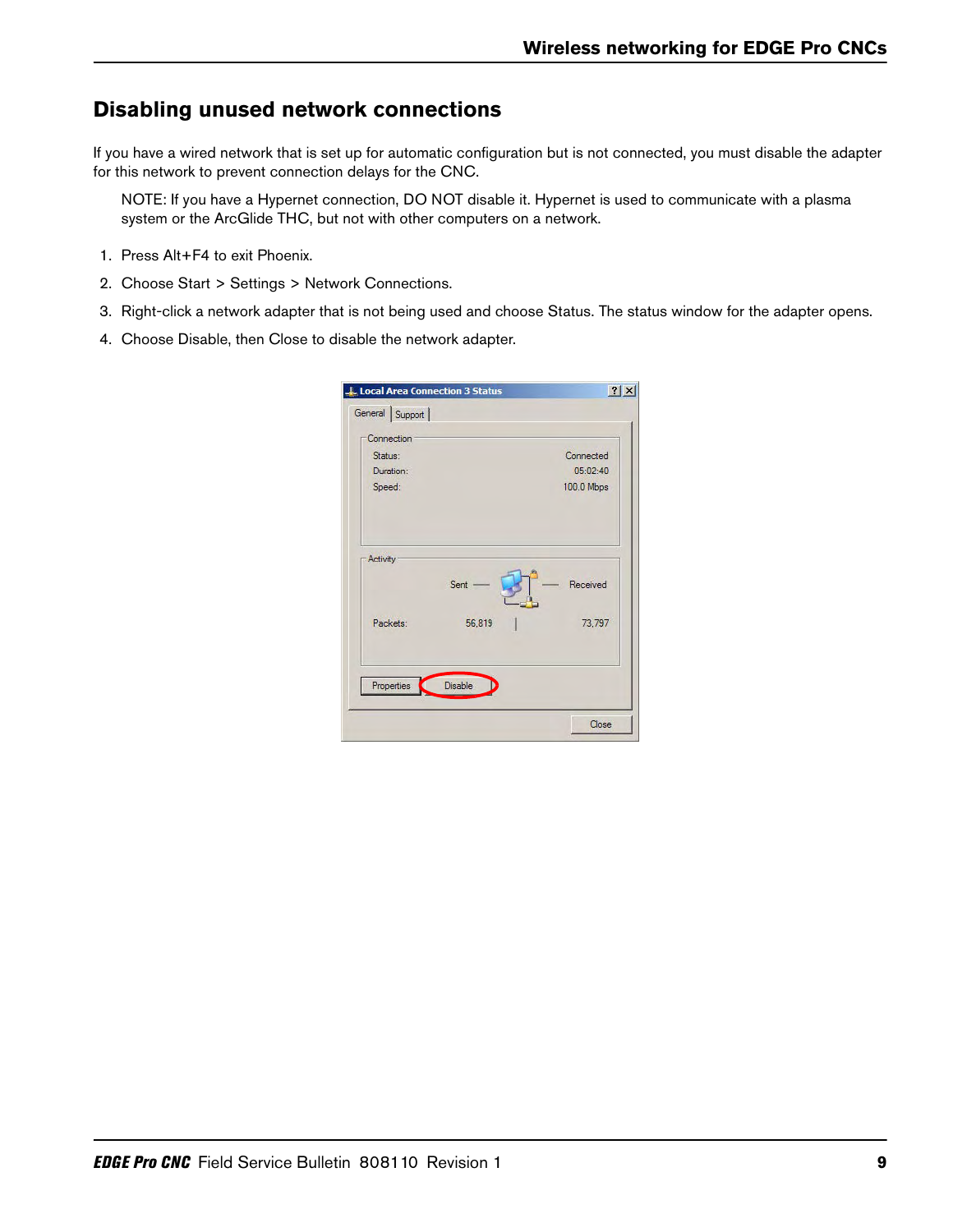# **Disabling unused network connections**

If you have a wired network that is set up for automatic configuration but is not connected, you must disable the adapter for this network to prevent connection delays for the CNC.

NOTE: If you have a Hypernet connection, DO NOT disable it. Hypernet is used to communicate with a plasma system or the ArcGlide THC, but not with other computers on a network.

- 1. Press Alt+F4 to exit Phoenix.
- 2. Choose Start > Settings > Network Connections.
- 3. Right-click a network adapter that is not being used and choose Status. The status window for the adapter opens.
- 4. Choose Disable, then Close to disable the network adapter.

| Connection<br>Status: | Connected  |
|-----------------------|------------|
| Duration:             | 05:02:40   |
| Speed:                | 100.0 Mbps |
| <b>Activity</b>       |            |
| Sent                  | Received   |
| Packets:<br>56,819    | 73,797     |
|                       |            |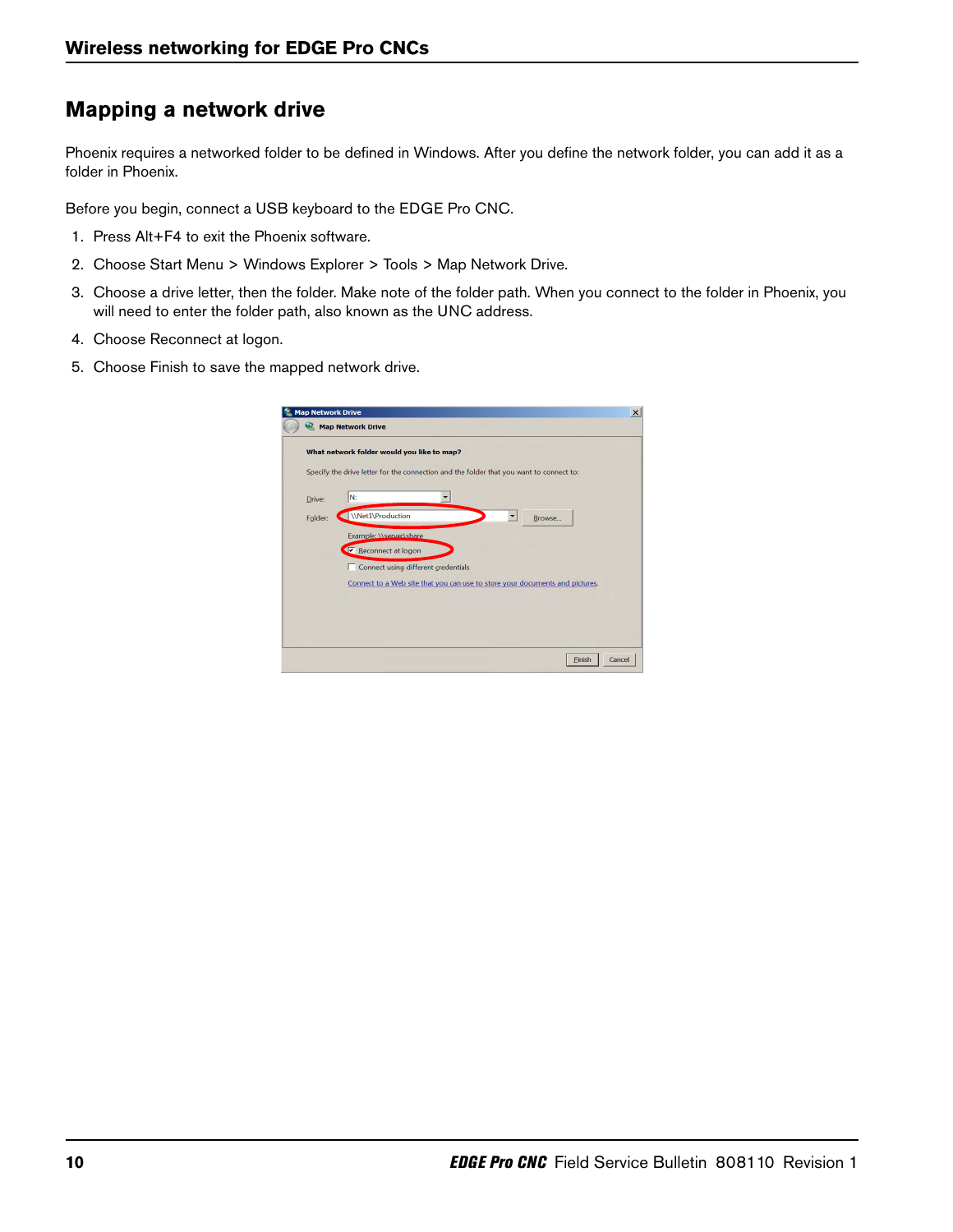# **Mapping a network drive**

Phoenix requires a networked folder to be defined in Windows. After you define the network folder, you can add it as a folder in Phoenix.

Before you begin, connect a USB keyboard to the EDGE Pro CNC.

- 1. Press Alt+F4 to exit the Phoenix software.
- 2. Choose Start Menu > Windows Explorer > Tools > Map Network Drive.
- 3. Choose a drive letter, then the folder. Make note of the folder path. When you connect to the folder in Phoenix, you will need to enter the folder path, also known as the UNC address.
- 4. Choose Reconnect at logon.
- 5. Choose Finish to save the mapped network drive.

|         | What network folder would you like to map?                                              |
|---------|-----------------------------------------------------------------------------------------|
|         | Specify the drive letter for the connection and the folder that you want to connect to: |
|         | N:                                                                                      |
| Drive:  |                                                                                         |
| Folder: | \\Net1\Production<br>Browse                                                             |
|         | Example: Wserver\share                                                                  |
|         | Reconnect at logon                                                                      |
|         | Connect using different credentials                                                     |
|         | Connect to a Web site that you can use to store your documents and pictures.            |
|         |                                                                                         |
|         |                                                                                         |
|         |                                                                                         |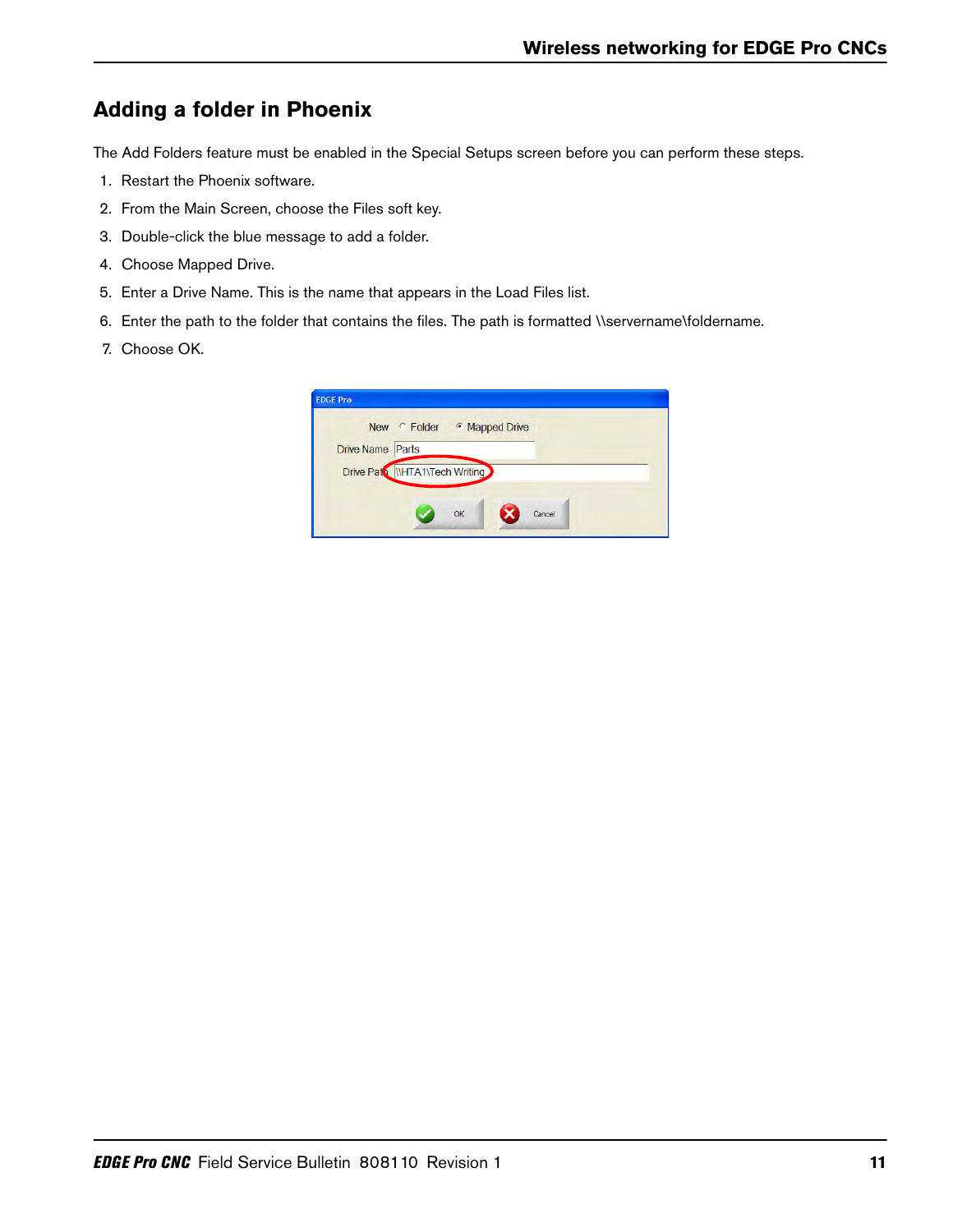# **Adding a folder in Phoenix**

The Add Folders feature must be enabled in the Special Setups screen before you can perform these steps.

- 1. Restart the Phoenix software.
- 2. From the Main Screen, choose the Files soft key.
- 3. Double-click the blue message to add a folder.
- 4. Choose Mapped Drive.
- 5. Enter a Drive Name. This is the name that appears in the Load Files list.
- 6. Enter the path to the folder that contains the files. The path is formatted \\servername\foldername.
- 7. Choose OK.

|                                  | New Folder Mapped Drive |        |  |
|----------------------------------|-------------------------|--------|--|
| <b>Drive Name Parts</b>          |                         |        |  |
| Drive Patt   IIHTA1\Tech Writing |                         |        |  |
|                                  |                         |        |  |
|                                  | OK                      | Cancel |  |